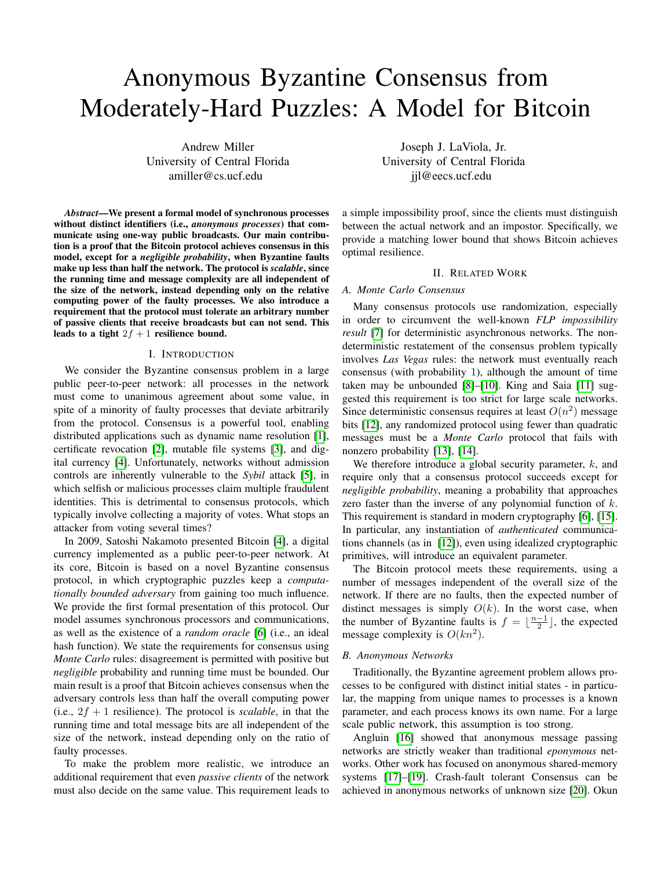# Anonymous Byzantine Consensus from Moderately-Hard Puzzles: A Model for Bitcoin

Andrew Miller University of Central Florida amiller@cs.ucf.edu

*Abstract*—We present a formal model of synchronous processes without distinct identifiers (i.e., *anonymous processes*) that communicate using one-way public broadcasts. Our main contribution is a proof that the Bitcoin protocol achieves consensus in this model, except for a *negligible probability*, when Byzantine faults make up less than half the network. The protocol is *scalable*, since the running time and message complexity are all independent of the size of the network, instead depending only on the relative computing power of the faulty processes. We also introduce a requirement that the protocol must tolerate an arbitrary number of passive clients that receive broadcasts but can not send. This leads to a tight  $2f + 1$  resilience bound.

#### I. INTRODUCTION

We consider the Byzantine consensus problem in a large public peer-to-peer network: all processes in the network must come to unanimous agreement about some value, in spite of a minority of faulty processes that deviate arbitrarily from the protocol. Consensus is a powerful tool, enabling distributed applications such as dynamic name resolution [\[1\]](#page-5-0), certificate revocation [\[2\]](#page-5-1), mutable file systems [\[3\]](#page-5-2), and digital currency [\[4\]](#page-5-3). Unfortunately, networks without admission controls are inherently vulnerable to the *Sybil* attack [\[5\]](#page-5-4), in which selfish or malicious processes claim multiple fraudulent identities. This is detrimental to consensus protocols, which typically involve collecting a majority of votes. What stops an attacker from voting several times?

In 2009, Satoshi Nakamoto presented Bitcoin [\[4\]](#page-5-3), a digital currency implemented as a public peer-to-peer network. At its core, Bitcoin is based on a novel Byzantine consensus protocol, in which cryptographic puzzles keep a *computationally bounded adversary* from gaining too much influence. We provide the first formal presentation of this protocol. Our model assumes synchronous processors and communications, as well as the existence of a *random oracle* [\[6\]](#page-5-5) (i.e., an ideal hash function). We state the requirements for consensus using *Monte Carlo* rules: disagreement is permitted with positive but *negligible* probability and running time must be bounded. Our main result is a proof that Bitcoin achieves consensus when the adversary controls less than half the overall computing power (i.e.,  $2f + 1$  resilience). The protocol is *scalable*, in that the running time and total message bits are all independent of the size of the network, instead depending only on the ratio of faulty processes.

To make the problem more realistic, we introduce an additional requirement that even *passive clients* of the network must also decide on the same value. This requirement leads to

Joseph J. LaViola, Jr. University of Central Florida jjl@eecs.ucf.edu

a simple impossibility proof, since the clients must distinguish between the actual network and an impostor. Specifically, we provide a matching lower bound that shows Bitcoin achieves optimal resilience.

# II. RELATED WORK

# *A. Monte Carlo Consensus*

Many consensus protocols use randomization, especially in order to circumvent the well-known *FLP impossibility result* [\[7\]](#page-5-6) for deterministic asynchronous networks. The nondeterministic restatement of the consensus problem typically involves *Las Vegas* rules: the network must eventually reach consensus (with probability 1), although the amount of time taken may be unbounded [\[8\]](#page-5-7)–[\[10\]](#page-5-8). King and Saia [\[11\]](#page-5-9) suggested this requirement is too strict for large scale networks. Since deterministic consensus requires at least  $O(n^2)$  message bits [\[12\]](#page-5-10), any randomized protocol using fewer than quadratic messages must be a *Monte Carlo* protocol that fails with nonzero probability [\[13\]](#page-5-11), [\[14\]](#page-5-12).

We therefore introduce a global security parameter,  $k$ , and require only that a consensus protocol succeeds except for *negligible probability*, meaning a probability that approaches zero faster than the inverse of any polynomial function of k. This requirement is standard in modern cryptography [\[6\]](#page-5-5), [\[15\]](#page-5-13). In particular, any instantiation of *authenticated* communications channels (as in [\[12\]](#page-5-10)), even using idealized cryptographic primitives, will introduce an equivalent parameter.

The Bitcoin protocol meets these requirements, using a number of messages independent of the overall size of the network. If there are no faults, then the expected number of distinct messages is simply  $O(k)$ . In the worst case, when the number of Byzantine faults is  $f = \lfloor \frac{n-1}{2} \rfloor$ , the expected message complexity is  $O(kn^2)$ .

### *B. Anonymous Networks*

Traditionally, the Byzantine agreement problem allows processes to be configured with distinct initial states - in particular, the mapping from unique names to processes is a known parameter, and each process knows its own name. For a large scale public network, this assumption is too strong.

Angluin [\[16\]](#page-5-14) showed that anonymous message passing networks are strictly weaker than traditional *eponymous* networks. Other work has focused on anonymous shared-memory systems [\[17\]](#page-5-15)–[\[19\]](#page-5-16). Crash-fault tolerant Consensus can be achieved in anonymous networks of unknown size [\[20\]](#page-5-17). Okun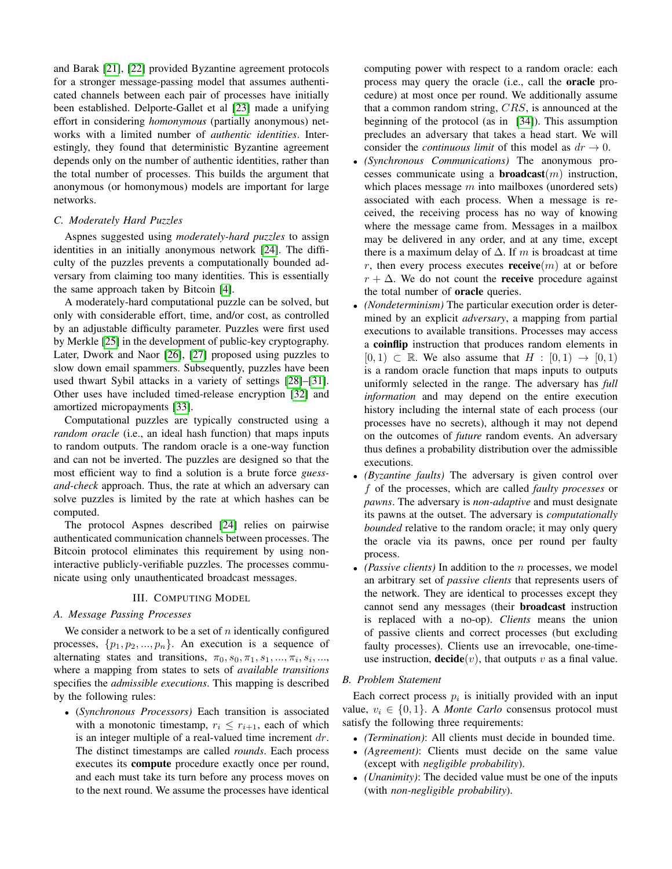and Barak [\[21\]](#page-5-18), [\[22\]](#page-5-19) provided Byzantine agreement protocols for a stronger message-passing model that assumes authenticated channels between each pair of processes have initially been established. Delporte-Gallet et al [\[23\]](#page-5-20) made a unifying effort in considering *homonymous* (partially anonymous) networks with a limited number of *authentic identities*. Interestingly, they found that deterministic Byzantine agreement depends only on the number of authentic identities, rather than the total number of processes. This builds the argument that anonymous (or homonymous) models are important for large networks.

# *C. Moderately Hard Puzzles*

Aspnes suggested using *moderately-hard puzzles* to assign identities in an initially anonymous network [\[24\]](#page-5-21). The difficulty of the puzzles prevents a computationally bounded adversary from claiming too many identities. This is essentially the same approach taken by Bitcoin [\[4\]](#page-5-3).

A moderately-hard computational puzzle can be solved, but only with considerable effort, time, and/or cost, as controlled by an adjustable difficulty parameter. Puzzles were first used by Merkle [\[25\]](#page-5-22) in the development of public-key cryptography. Later, Dwork and Naor [\[26\]](#page-5-23), [\[27\]](#page-5-24) proposed using puzzles to slow down email spammers. Subsequently, puzzles have been used thwart Sybil attacks in a variety of settings [\[28\]](#page-5-25)–[\[31\]](#page-5-26). Other uses have included timed-release encryption [\[32\]](#page-5-27) and amortized micropayments [\[33\]](#page-5-28).

Computational puzzles are typically constructed using a *random oracle* (i.e., an ideal hash function) that maps inputs to random outputs. The random oracle is a one-way function and can not be inverted. The puzzles are designed so that the most efficient way to find a solution is a brute force *guessand-check* approach. Thus, the rate at which an adversary can solve puzzles is limited by the rate at which hashes can be computed.

The protocol Aspnes described [\[24\]](#page-5-21) relies on pairwise authenticated communication channels between processes. The Bitcoin protocol eliminates this requirement by using noninteractive publicly-verifiable puzzles. The processes communicate using only unauthenticated broadcast messages.

# III. COMPUTING MODEL

# *A. Message Passing Processes*

We consider a network to be a set of  $n$  identically configured processes,  $\{p_1, p_2, ..., p_n\}$ . An execution is a sequence of alternating states and transitions,  $\pi_0$ ,  $s_0$ ,  $\pi_1$ ,  $s_1$ , ...,  $\pi_i$ ,  $s_i$ , ..., where a mapping from states to sets of *available transitions* specifies the *admissible executions*. This mapping is described by the following rules:

• (*Synchronous Processors)* Each transition is associated with a monotonic timestamp,  $r_i \leq r_{i+1}$ , each of which is an integer multiple of a real-valued time increment  $dr$ . The distinct timestamps are called *rounds*. Each process executes its compute procedure exactly once per round, and each must take its turn before any process moves on to the next round. We assume the processes have identical computing power with respect to a random oracle: each process may query the oracle (i.e., call the oracle procedure) at most once per round. We additionally assume that a common random string, CRS, is announced at the beginning of the protocol (as in [\[34\]](#page-5-29)). This assumption precludes an adversary that takes a head start. We will consider the *continuous limit* of this model as  $dr \rightarrow 0$ .

- *(Synchronous Communications)* The anonymous processes communicate using a **broadcast** $(m)$  instruction, which places message  $m$  into mailboxes (unordered sets) associated with each process. When a message is received, the receiving process has no way of knowing where the message came from. Messages in a mailbox may be delivered in any order, and at any time, except there is a maximum delay of  $\Delta$ . If m is broadcast at time r, then every process executes **receive** $(m)$  at or before  $r + \Delta$ . We do not count the **receive** procedure against the total number of oracle queries.
- *(Nondeterminism)* The particular execution order is determined by an explicit *adversary*, a mapping from partial executions to available transitions. Processes may access a coinflip instruction that produces random elements in  $[0, 1) \subset \mathbb{R}$ . We also assume that  $H : [0, 1) \rightarrow [0, 1)$ is a random oracle function that maps inputs to outputs uniformly selected in the range. The adversary has *full information* and may depend on the entire execution history including the internal state of each process (our processes have no secrets), although it may not depend on the outcomes of *future* random events. An adversary thus defines a probability distribution over the admissible executions.
- *(Byzantine faults)* The adversary is given control over f of the processes, which are called *faulty processes* or *pawns*. The adversary is *non-adaptive* and must designate its pawns at the outset. The adversary is *computationally bounded* relative to the random oracle; it may only query the oracle via its pawns, once per round per faulty process.
- *(Passive clients)* In addition to the n processes, we model an arbitrary set of *passive clients* that represents users of the network. They are identical to processes except they cannot send any messages (their broadcast instruction is replaced with a no-op). *Clients* means the union of passive clients and correct processes (but excluding faulty processes). Clients use an irrevocable, one-timeuse instruction, **decide** $(v)$ , that outputs v as a final value.

### *B. Problem Statement*

Each correct process  $p_i$  is initially provided with an input value,  $v_i \in \{0, 1\}$ . A *Monte Carlo* consensus protocol must satisfy the following three requirements:

- *(Termination)*: All clients must decide in bounded time.
- *(Agreement)*: Clients must decide on the same value (except with *negligible probability*).
- *(Unanimity)*: The decided value must be one of the inputs (with *non-negligible probability*).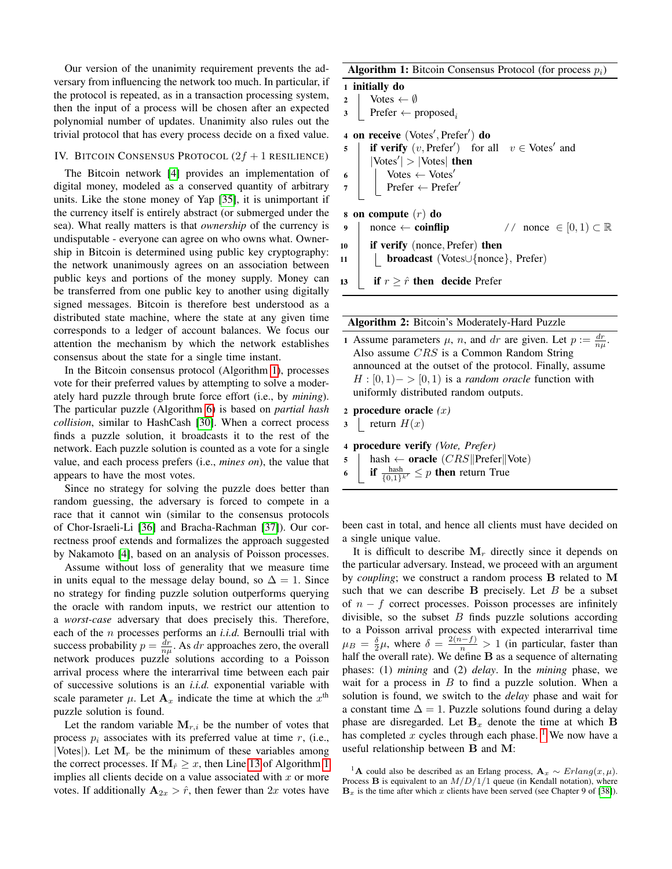Our version of the unanimity requirement prevents the adversary from influencing the network too much. In particular, if the protocol is repeated, as in a transaction processing system, then the input of a process will be chosen after an expected polynomial number of updates. Unanimity also rules out the trivial protocol that has every process decide on a fixed value.

# IV. BITCOIN CONSENSUS PROTOCOL  $(2f + 1$  RESILIENCE)

The Bitcoin network [\[4\]](#page-5-3) provides an implementation of digital money, modeled as a conserved quantity of arbitrary units. Like the stone money of Yap [\[35\]](#page-5-30), it is unimportant if the currency itself is entirely abstract (or submerged under the sea). What really matters is that *ownership* of the currency is undisputable - everyone can agree on who owns what. Ownership in Bitcoin is determined using public key cryptography: the network unanimously agrees on an association between public keys and portions of the money supply. Money can be transferred from one public key to another using digitally signed messages. Bitcoin is therefore best understood as a distributed state machine, where the state at any given time corresponds to a ledger of account balances. We focus our attention the mechanism by which the network establishes consensus about the state for a single time instant.

In the Bitcoin consensus protocol (Algorithm [1\)](#page-2-0), processes vote for their preferred values by attempting to solve a moderately hard puzzle through brute force effort (i.e., by *mining*). The particular puzzle (Algorithm [6\)](#page-2-1) is based on *partial hash collision*, similar to HashCash [\[30\]](#page-5-31). When a correct process finds a puzzle solution, it broadcasts it to the rest of the network. Each puzzle solution is counted as a vote for a single value, and each process prefers (i.e., *mines on*), the value that appears to have the most votes.

Since no strategy for solving the puzzle does better than random guessing, the adversary is forced to compete in a race that it cannot win (similar to the consensus protocols of Chor-Israeli-Li [\[36\]](#page-5-32) and Bracha-Rachman [\[37\]](#page-5-33)). Our correctness proof extends and formalizes the approach suggested by Nakamoto [\[4\]](#page-5-3), based on an analysis of Poisson processes.

Assume without loss of generality that we measure time in units equal to the message delay bound, so  $\Delta = 1$ . Since no strategy for finding puzzle solution outperforms querying the oracle with random inputs, we restrict our attention to a *worst-case* adversary that does precisely this. Therefore, each of the n processes performs an *i.i.d.* Bernoulli trial with success probability  $p = \frac{dr}{n\mu}$ . As dr approaches zero, the overall network produces puzzle solutions according to a Poisson arrival process where the interarrival time between each pair of successive solutions is an *i.i.d.* exponential variable with scale parameter  $\mu$ . Let  $\mathbf{A}_x$  indicate the time at which the  $x^{\text{th}}$ puzzle solution is found.

Let the random variable  $M_{r,i}$  be the number of votes that process  $p_i$  associates with its preferred value at time r, (i.e., |Votes|). Let  $M_r$  be the minimum of these variables among the correct processes. If  $M_{\hat{r}} \geq x$ , then Line [13](#page-2-2) of Algorithm [1](#page-2-0) implies all clients decide on a value associated with  $x$  or more votes. If additionally  $A_{2x} > \hat{r}$ , then fewer than  $2x$  votes have **Algorithm 1:** Bitcoin Consensus Protocol (for process  $p_i$ )

1 initially do 2 | Votes  $\leftarrow \emptyset$ 3 Prefer  $\leftarrow$  proposed<sub>i</sub> 4 on receive (Votes', Prefer') do 5 **if verify**  $(v, \text{Prefer}')$  for all  $v \in \text{Notes}'$  and  $|Votes'| > |Votes|$  then 6 | | Votes  $\leftarrow$  Votes'  $7$  | Prefer ← Prefer 8 on compute  $(r)$  do 9 | nonce ← coinflip  $\ell$  nonce  $\in [0, 1) \subset \mathbb{R}$ <sup>10</sup> if verify (nonce, Prefer) then <sup>11</sup> broadcast (Votes∪{nonce}, Prefer) 13 if  $r \geq \hat{r}$  then decide Prefer

<span id="page-2-2"></span><span id="page-2-0"></span>

|  |  |  | Algorithm 2: Bitcoin's Moderately-Hard Puzzle |  |
|--|--|--|-----------------------------------------------|--|
|--|--|--|-----------------------------------------------|--|

1 Assume parameters  $\mu$ , *n*, and *dr* are given. Let  $p := \frac{dr}{n\mu}$ . Also assume CRS is a Common Random String announced at the outset of the protocol. Finally, assume  $H : [0, 1] \rightarrow [0, 1)$  is a *random oracle* function with uniformly distributed random outputs.

```
2 procedure oracle (x)
```

```
3 return H(x)
```
<sup>4</sup> procedure verify *(Vote, Prefer)*

$$
5 \quad | \quad \text{hash} \leftarrow \text{oracle} \ (CRS \|\text{Prefer} \|\text{Vote})
$$

<span id="page-2-1"></span>6 if  $\frac{\text{hash}}{\{0,1\}^{k'}} \leq p$  then return True

been cast in total, and hence all clients must have decided on a single unique value.

It is difficult to describe  $M_r$  directly since it depends on the particular adversary. Instead, we proceed with an argument by *coupling*; we construct a random process B related to M such that we can describe  $\bf{B}$  precisely. Let  $\bf{B}$  be a subset of  $n - f$  correct processes. Poisson processes are infinitely divisible, so the subset  $B$  finds puzzle solutions according to a Poisson arrival process with expected interarrival time  $\mu_B = \frac{\delta}{2}\mu$ , where  $\delta = \frac{2(n-f)}{n} > 1$  (in particular, faster than half the overall rate). We define  $B$  as a sequence of alternating phases: (1) *mining* and (2) *delay*. In the *mining* phase, we wait for a process in  $B$  to find a puzzle solution. When a solution is found, we switch to the *delay* phase and wait for a constant time  $\Delta = 1$ . Puzzle solutions found during a delay phase are disregarded. Let  $B_x$  denote the time at which B has completed x cycles through each phase. <sup>[1](#page-2-3)</sup> We now have a useful relationship between B and M:

<span id="page-2-3"></span><sup>&</sup>lt;sup>1</sup>A could also be described as an Erlang process,  $A_x \sim Erlang(x, \mu)$ . Process **B** is equivalent to an  $M/D/1/1$  queue (in Kendall notation), where  **is the time after which x clients have been served (see Chapter 9 of [\[38\]](#page-5-34)).**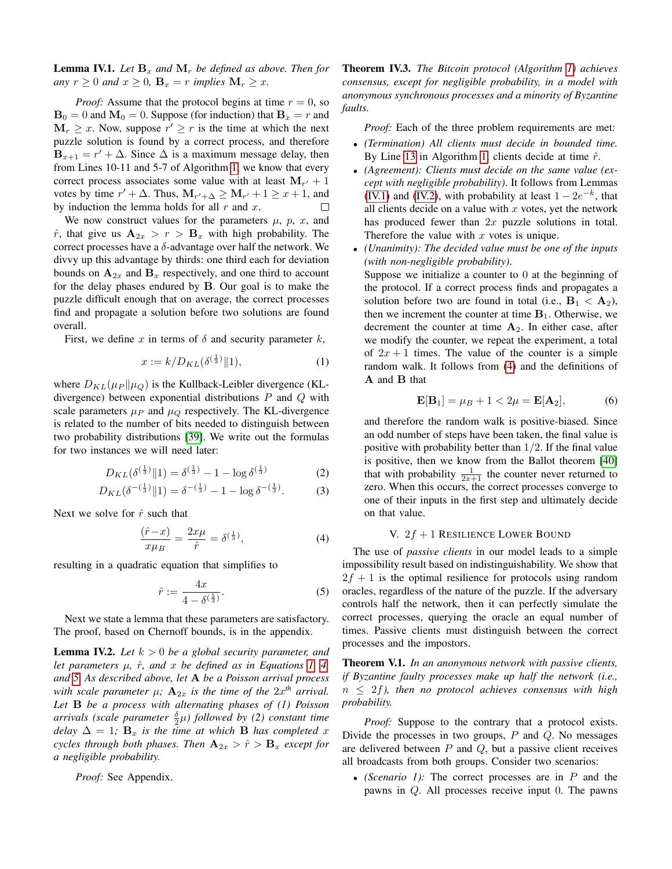<span id="page-3-3"></span>**Lemma IV.1.** Let  $\mathbf{B}_x$  and  $\mathbf{M}_r$  be defined as above. Then for *any*  $r \geq 0$  *and*  $x \geq 0$ ,  $\mathbf{B}_x = r$  *implies*  $\mathbf{M}_r \geq x$ *.* 

*Proof:* Assume that the protocol begins at time  $r = 0$ , so  **and**  $**M**<sub>0</sub> = 0$ **. Suppose (for induction) that**  $**B**<sub>x</sub> = r$  **and**  $M_r \geq x$ . Now, suppose  $r' \geq r$  is the time at which the next puzzle solution is found by a correct process, and therefore **. Since**  $\Delta$  **is a maximum message delay, then** from Lines 10-11 and 5-7 of Algorithm [1,](#page-2-0) we know that every correct process associates some value with at least  $M_{r'} + 1$ votes by time  $r' + \Delta$ . Thus,  $M_{r'+\Delta} \ge M_{r'} + 1 \ge x + 1$ , and by induction the lemma holds for all  $r$  and  $x$ .  $\Box$ 

We now construct values for the parameters  $\mu$ ,  $p$ ,  $x$ , and  $\hat{r}$ , that give us  $\mathbf{A}_{2x} > r > \mathbf{B}_x$  with high probability. The correct processes have a  $\delta$ -advantage over half the network. We divvy up this advantage by thirds: one third each for deviation bounds on  $A_{2x}$  and  $B_x$  respectively, and one third to account for the delay phases endured by B. Our goal is to make the puzzle difficult enough that on average, the correct processes find and propagate a solution before two solutions are found overall.

First, we define x in terms of  $\delta$  and security parameter k,

<span id="page-3-0"></span>
$$
x := k/D_{KL}(\delta^{(\frac{1}{3})} \| 1), \tag{1}
$$

where  $D_{KL}(\mu_P || \mu_Q)$  is the Kullback-Leibler divergence (KLdivergence) between exponential distributions  $P$  and  $Q$  with scale parameters  $\mu_P$  and  $\mu_Q$  respectively. The KL-divergence is related to the number of bits needed to distinguish between two probability distributions [\[39\]](#page-5-35). We write out the formulas for two instances we will need later:

$$
D_{KL}(\delta^{\left(\frac{1}{3}\right)} \| 1) = \delta^{\left(\frac{1}{3}\right)} - 1 - \log \delta^{\left(\frac{1}{3}\right)}\tag{2}
$$

$$
D_{KL}(\delta^{-(\frac{1}{3})} \| 1) = \delta^{-(\frac{1}{3})} - 1 - \log \delta^{-(\frac{1}{3})}.
$$
 (3)

Next we solve for  $\hat{r}$  such that

<span id="page-3-1"></span>
$$
\frac{(\hat{r} - x)}{x\mu_B} = \frac{2x\mu}{\hat{r}} = \delta^{\left(\frac{1}{3}\right)},\tag{4}
$$

resulting in a quadratic equation that simplifies to

<span id="page-3-2"></span>
$$
\hat{r} := \frac{4x}{4 - \delta^{\left(\frac{5}{3}\right)}}.\tag{5}
$$

Next we state a lemma that these parameters are satisfactory. The proof, based on Chernoff bounds, is in the appendix.

<span id="page-3-4"></span>**Lemma IV.2.** Let  $k > 0$  be a global security parameter, and *let parameters* µ*,* rˆ*, and* x *be defined as in Equations [1,](#page-3-0) [4,](#page-3-1) and [5.](#page-3-2) As described above, let* A *be a Poisson arrival process* with scale parameter  $\mu$ ;  $\mathbf{A}_{2x}$  is the time of the  $2x^{th}$  arrival. *Let* B *be a process with alternating phases of (1) Poisson*  $\arrivals$  (scale parameter  $\frac{\delta}{2}\mu$ ) followed by (2) constant time *delay*  $\Delta = 1$ ;  $\mathbf{B}_x$  *is the time at which* **B** *has completed* x *cycles through both phases. Then*  $A_{2x} > \hat{r} > B_x$  *except for a negligible probability.*

*Proof:* See Appendix.

Theorem IV.3. *The Bitcoin protocol (Algorithm [1\)](#page-2-0) achieves consensus, except for negligible probability, in a model with anonymous synchronous processes and a minority of Byzantine faults.*

*Proof:* Each of the three problem requirements are met:

- *(Termination) All clients must decide in bounded time.* By Line [13](#page-2-2) in Algorithm [1,](#page-2-0) clients decide at time  $\hat{r}$ .
- *(Agreement): Clients must decide on the same value (except with negligible probability)*. It follows from Lemmas [\(IV.1\)](#page-3-3) and [\(IV.2\)](#page-3-4), with probability at least  $1 - 2e^{-k}$ , that all clients decide on a value with  $x$  votes, yet the network has produced fewer than  $2x$  puzzle solutions in total. Therefore the value with  $x$  votes is unique.
- *(Unanimity): The decided value must be one of the inputs (with non-negligible probability)*. Suppose we initialize a counter to 0 at the beginning of

the protocol. If a correct process finds and propagates a solution before two are found in total (i.e.,  $B_1 < A_2$ ), then we increment the counter at time  $B_1$ . Otherwise, we decrement the counter at time  $A_2$ . In either case, after we modify the counter, we repeat the experiment, a total of  $2x + 1$  times. The value of the counter is a simple random walk. It follows from [\(4\)](#page-3-1) and the definitions of A and B that

$$
\mathbf{E}[\mathbf{B}_1] = \mu_B + 1 < 2\mu = \mathbf{E}[\mathbf{A}_2],\tag{6}
$$

<span id="page-3-6"></span>and therefore the random walk is positive-biased. Since an odd number of steps have been taken, the final value is positive with probability better than  $1/2$ . If the final value is positive, then we know from the Ballot theorem [\[40\]](#page-5-36) that with probability  $\frac{1}{2x+1}$  the counter never returned to zero. When this occurs, the correct processes converge to one of their inputs in the first step and ultimately decide on that value.

#### V.  $2f + 1$  RESILIENCE LOWER BOUND

<span id="page-3-5"></span>The use of *passive clients* in our model leads to a simple impossibility result based on indistinguishability. We show that  $2f + 1$  is the optimal resilience for protocols using random oracles, regardless of the nature of the puzzle. If the adversary controls half the network, then it can perfectly simulate the correct processes, querying the oracle an equal number of times. Passive clients must distinguish between the correct processes and the impostors.

Theorem V.1. *In an anonymous network with passive clients, if Byzantine faulty processes make up half the network (i.e.,* n ≤ 2f*), then no protocol achieves consensus with high probability.*

*Proof:* Suppose to the contrary that a protocol exists. Divide the processes in two groups,  $P$  and  $Q$ . No messages are delivered between  $P$  and  $Q$ , but a passive client receives all broadcasts from both groups. Consider two scenarios:

• *(Scenario 1):* The correct processes are in P and the pawns in Q. All processes receive input 0. The pawns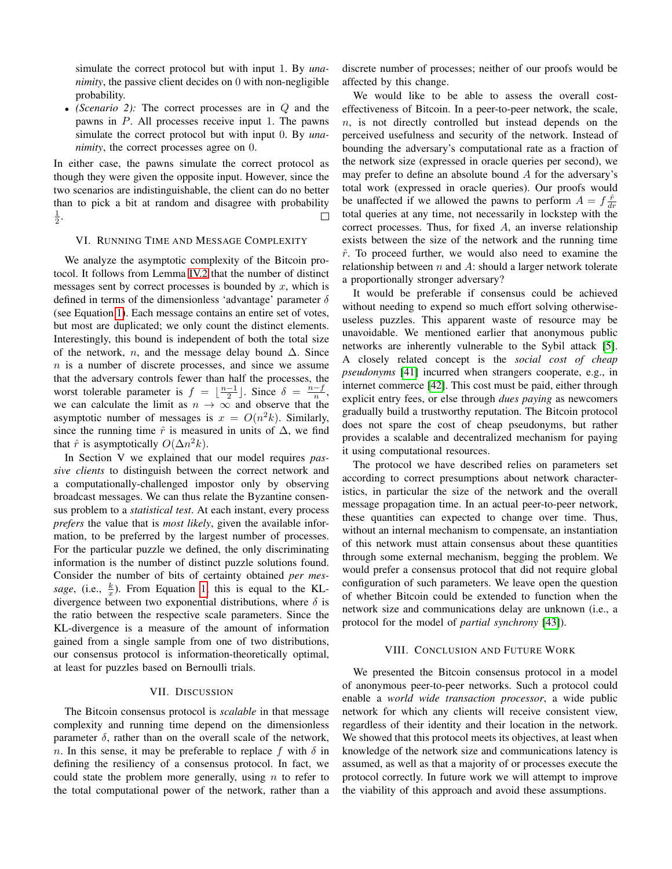simulate the correct protocol but with input 1. By *unanimity*, the passive client decides on 0 with non-negligible probability.

• *(Scenario 2):* The correct processes are in Q and the pawns in P. All processes receive input 1. The pawns simulate the correct protocol but with input 0. By *unanimity*, the correct processes agree on 0.

In either case, the pawns simulate the correct protocol as though they were given the opposite input. However, since the two scenarios are indistinguishable, the client can do no better than to pick a bit at random and disagree with probability  $\frac{1}{2}$ .  $\Box$ 

### VI. RUNNING TIME AND MESSAGE COMPLEXITY

We analyze the asymptotic complexity of the Bitcoin protocol. It follows from Lemma [IV.2](#page-3-4) that the number of distinct messages sent by correct processes is bounded by  $x$ , which is defined in terms of the dimensionless 'advantage' parameter  $\delta$ (see Equation [1\)](#page-3-0). Each message contains an entire set of votes, but most are duplicated; we only count the distinct elements. Interestingly, this bound is independent of both the total size of the network, *n*, and the message delay bound  $\Delta$ . Since  $n$  is a number of discrete processes, and since we assume that the adversary controls fewer than half the processes, the worst tolerable parameter is  $f = \lfloor \frac{n-1}{2} \rfloor$ . Since  $\delta = \frac{n-f}{n}$ , we can calculate the limit as  $n \to \infty$  and observe that the asymptotic number of messages is  $x = O(n^2k)$ . Similarly, since the running time  $\hat{r}$  is measured in units of  $\Delta$ , we find that  $\hat{r}$  is asymptotically  $O(\Delta n^2 k)$ .

In Section V we explained that our model requires *passive clients* to distinguish between the correct network and a computationally-challenged impostor only by observing broadcast messages. We can thus relate the Byzantine consensus problem to a *statistical test*. At each instant, every process *prefers* the value that is *most likely*, given the available information, to be preferred by the largest number of processes. For the particular puzzle we defined, the only discriminating information is the number of distinct puzzle solutions found. Consider the number of bits of certainty obtained *per mes*sage, (i.e.,  $\frac{k}{x}$ ). From Equation [1,](#page-3-0) this is equal to the KLdivergence between two exponential distributions, where  $\delta$  is the ratio between the respective scale parameters. Since the KL-divergence is a measure of the amount of information gained from a single sample from one of two distributions, our consensus protocol is information-theoretically optimal, at least for puzzles based on Bernoulli trials.

#### VII. DISCUSSION

The Bitcoin consensus protocol is *scalable* in that message complexity and running time depend on the dimensionless parameter  $\delta$ , rather than on the overall scale of the network, n. In this sense, it may be preferable to replace f with  $\delta$  in defining the resiliency of a consensus protocol. In fact, we could state the problem more generally, using  $n$  to refer to the total computational power of the network, rather than a discrete number of processes; neither of our proofs would be affected by this change.

We would like to be able to assess the overall costeffectiveness of Bitcoin. In a peer-to-peer network, the scale,  $n<sub>1</sub>$ , is not directly controlled but instead depends on the perceived usefulness and security of the network. Instead of bounding the adversary's computational rate as a fraction of the network size (expressed in oracle queries per second), we may prefer to define an absolute bound A for the adversary's total work (expressed in oracle queries). Our proofs would be unaffected if we allowed the pawns to perform  $A = f \frac{\hat{r}}{dr}$ total queries at any time, not necessarily in lockstep with the correct processes. Thus, for fixed A, an inverse relationship exists between the size of the network and the running time  $\hat{r}$ . To proceed further, we would also need to examine the relationship between  $n$  and  $A$ : should a larger network tolerate a proportionally stronger adversary?

It would be preferable if consensus could be achieved without needing to expend so much effort solving otherwiseuseless puzzles. This apparent waste of resource may be unavoidable. We mentioned earlier that anonymous public networks are inherently vulnerable to the Sybil attack [\[5\]](#page-5-4). A closely related concept is the *social cost of cheap pseudonyms* [\[41\]](#page-5-37) incurred when strangers cooperate, e.g., in internet commerce [\[42\]](#page-5-38). This cost must be paid, either through explicit entry fees, or else through *dues paying* as newcomers gradually build a trustworthy reputation. The Bitcoin protocol does not spare the cost of cheap pseudonyms, but rather provides a scalable and decentralized mechanism for paying it using computational resources.

The protocol we have described relies on parameters set according to correct presumptions about network characteristics, in particular the size of the network and the overall message propagation time. In an actual peer-to-peer network, these quantities can expected to change over time. Thus, without an internal mechanism to compensate, an instantiation of this network must attain consensus about these quantities through some external mechanism, begging the problem. We would prefer a consensus protocol that did not require global configuration of such parameters. We leave open the question of whether Bitcoin could be extended to function when the network size and communications delay are unknown (i.e., a protocol for the model of *partial synchrony* [\[43\]](#page-5-39)).

#### VIII. CONCLUSION AND FUTURE WORK

We presented the Bitcoin consensus protocol in a model of anonymous peer-to-peer networks. Such a protocol could enable a *world wide transaction processor*, a wide public network for which any clients will receive consistent view, regardless of their identity and their location in the network. We showed that this protocol meets its objectives, at least when knowledge of the network size and communications latency is assumed, as well as that a majority of or processes execute the protocol correctly. In future work we will attempt to improve the viability of this approach and avoid these assumptions.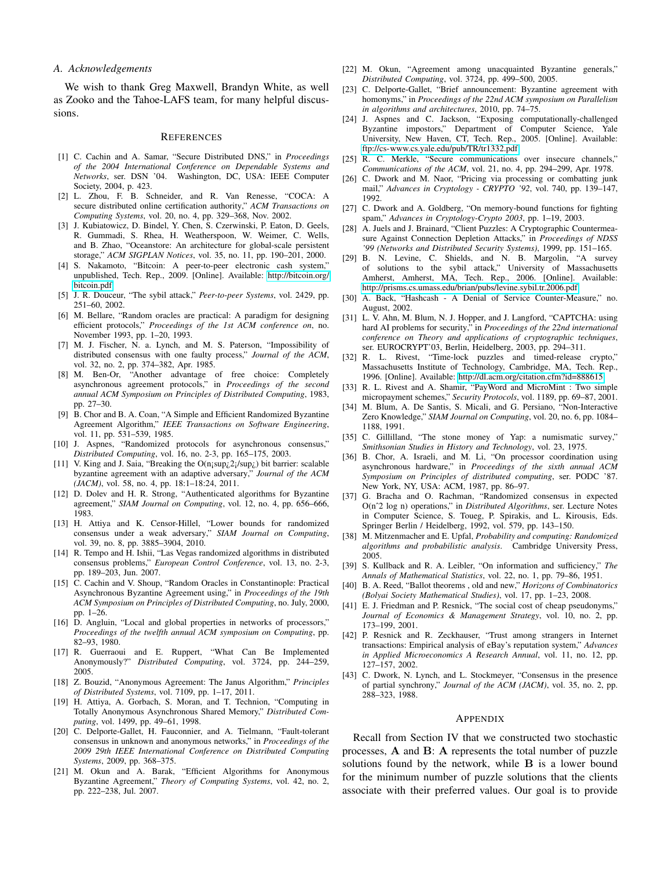#### *A. Acknowledgements*

We wish to thank Greg Maxwell, Brandyn White, as well as Zooko and the Tahoe-LAFS team, for many helpful discussions.

#### **REFERENCES**

- <span id="page-5-0"></span>[1] C. Cachin and A. Samar, "Secure Distributed DNS," in *Proceedings of the 2004 International Conference on Dependable Systems and Networks*, ser. DSN '04. Washington, DC, USA: IEEE Computer Society, 2004, p. 423.
- <span id="page-5-1"></span>[2] L. Zhou, F. B. Schneider, and R. Van Renesse, "COCA: A secure distributed online certification authority," *ACM Transactions on Computing Systems*, vol. 20, no. 4, pp. 329–368, Nov. 2002.
- <span id="page-5-2"></span>[3] J. Kubiatowicz, D. Bindel, Y. Chen, S. Czerwinski, P. Eaton, D. Geels, R. Gummadi, S. Rhea, H. Weatherspoon, W. Weimer, C. Wells, and B. Zhao, "Oceanstore: An architecture for global-scale persistent storage," *ACM SIGPLAN Notices*, vol. 35, no. 11, pp. 190–201, 2000.
- <span id="page-5-3"></span>[4] S. Nakamoto, "Bitcoin: A peer-to-peer electronic cash system," unpublished, Tech. Rep., 2009. [Online]. Available: [http://bitcoin.org/](http://bitcoin.org/bitcoin.pdf) [bitcoin.pdf](http://bitcoin.org/bitcoin.pdf)
- <span id="page-5-4"></span>[5] J. R. Douceur, "The sybil attack," *Peer-to-peer Systems*, vol. 2429, pp. 251–60, 2002.
- <span id="page-5-5"></span>[6] M. Bellare, "Random oracles are practical: A paradigm for designing efficient protocols," *Proceedings of the 1st ACM conference on*, no. November 1993, pp. 1–20, 1993.
- <span id="page-5-6"></span>[7] M. J. Fischer, N. a. Lynch, and M. S. Paterson, "Impossibility of distributed consensus with one faulty process," *Journal of the ACM*, vol. 32, no. 2, pp. 374–382, Apr. 1985.
- <span id="page-5-7"></span>[8] M. Ben-Or, "Another advantage of free choice: Completely asynchronous agreement protocols," in *Proceedings of the second annual ACM Symposium on Principles of Distributed Computing*, 1983, pp. 27–30.
- [9] B. Chor and B. A. Coan, "A Simple and Efficient Randomized Byzantine Agreement Algorithm," *IEEE Transactions on Software Engineering*, vol. 11, pp. 531–539, 1985.
- <span id="page-5-8"></span>[10] J. Aspnes, "Randomized protocols for asynchronous consensus," *Distributed Computing*, vol. 16, no. 2-3, pp. 165–175, 2003.
- <span id="page-5-9"></span>[11] V. King and J. Saia, "Breaking the  $O(n_1 \sup_{\zeta} 2_i / \sup_{\zeta})$  bit barrier: scalable byzantine agreement with an adaptive adversary," *Journal of the ACM (JACM)*, vol. 58, no. 4, pp. 18:1–18:24, 2011.
- <span id="page-5-10"></span>[12] D. Dolev and H. R. Strong, "Authenticated algorithms for Byzantine agreement," *SIAM Journal on Computing*, vol. 12, no. 4, pp. 656–666, 1983.
- <span id="page-5-11"></span>[13] H. Attiya and K. Censor-Hillel, "Lower bounds for randomized consensus under a weak adversary," *SIAM Journal on Computing*, vol. 39, no. 8, pp. 3885–3904, 2010.
- <span id="page-5-12"></span>[14] R. Tempo and H. Ishii, "Las Vegas randomized algorithms in distributed consensus problems," *European Control Conference*, vol. 13, no. 2-3, pp. 189–203, Jun. 2007.
- <span id="page-5-13"></span>[15] C. Cachin and V. Shoup, "Random Oracles in Constantinople: Practical Asynchronous Byzantine Agreement using," in *Proceedings of the 19th ACM Symposium on Principles of Distributed Computing*, no. July, 2000, pp. 1–26.
- <span id="page-5-14"></span>[16] D. Angluin, "Local and global properties in networks of processors," *Proceedings of the twelfth annual ACM symposium on Computing*, pp. 82–93, 1980.
- <span id="page-5-15"></span>[17] R. Guerraoui and E. Ruppert, "What Can Be Implemented Anonymously?" *Distributed Computing*, vol. 3724, pp. 244–259, 2005.
- [18] Z. Bouzid, "Anonymous Agreement: The Janus Algorithm," *Principles of Distributed Systems*, vol. 7109, pp. 1–17, 2011.
- <span id="page-5-16"></span>[19] H. Attiya, A. Gorbach, S. Moran, and T. Technion, "Computing in Totally Anonymous Asynchronous Shared Memory," *Distributed Computing*, vol. 1499, pp. 49–61, 1998.
- <span id="page-5-17"></span>[20] C. Delporte-Gallet, H. Fauconnier, and A. Tielmann, "Fault-tolerant consensus in unknown and anonymous networks," in *Proceedings of the 2009 29th IEEE International Conference on Distributed Computing Systems*, 2009, pp. 368–375.
- <span id="page-5-18"></span>[21] M. Okun and A. Barak, "Efficient Algorithms for Anonymous Byzantine Agreement," *Theory of Computing Systems*, vol. 42, no. 2, pp. 222–238, Jul. 2007.
- <span id="page-5-19"></span>[22] M. Okun, "Agreement among unacquainted Byzantine generals," *Distributed Computing*, vol. 3724, pp. 499–500, 2005.
- <span id="page-5-20"></span>[23] C. Delporte-Gallet, "Brief announcement: Byzantine agreement with homonyms," in *Proceedings of the 22nd ACM symposium on Parallelism in algorithms and architectures*, 2010, pp. 74–75.
- <span id="page-5-21"></span>[24] J. Aspnes and C. Jackson, "Exposing computationally-challenged Byzantine impostors," Department of Computer Science, Yale University, New Haven, CT, Tech. Rep., 2005. [Online]. Available: <ftp://cs-www.cs.yale.edu/pub/TR/tr1332.pdf>
- <span id="page-5-22"></span>[25] R. C. Merkle, "Secure communications over insecure channels," *Communications of the ACM*, vol. 21, no. 4, pp. 294–299, Apr. 1978.
- <span id="page-5-23"></span>[26] C. Dwork and M. Naor, "Pricing via processing or combatting junk mail," *Advances in Cryptology - CRYPTO '92*, vol. 740, pp. 139–147, 1992.
- <span id="page-5-24"></span>[27] C. Dwork and A. Goldberg, "On memory-bound functions for fighting spam," *Advances in Cryptology-Crypto 2003*, pp. 1–19, 2003.
- <span id="page-5-25"></span>[28] A. Juels and J. Brainard, "Client Puzzles: A Cryptographic Countermeasure Against Connection Depletion Attacks," in *Proceedings of NDSS '99 (Networks and Distributed Security Systems)*, 1999, pp. 151–165.
- [29] B. N. Levine, C. Shields, and N. B. Margolin, "A survey of solutions to the sybil attack," University of Massachusetts Amherst, Amherst, MA, Tech. Rep., 2006. [Online]. Available: <http://prisms.cs.umass.edu/brian/pubs/levine.sybil.tr.2006.pdf>
- <span id="page-5-31"></span>[30] A. Back, "Hashcash - A Denial of Service Counter-Measure," no. August, 2002.
- <span id="page-5-26"></span>[31] L. V. Ahn, M. Blum, N. J. Hopper, and J. Langford, "CAPTCHA: using hard AI problems for security," in *Proceedings of the 22nd international conference on Theory and applications of cryptographic techniques*, ser. EUROCRYPT'03, Berlin, Heidelberg, 2003, pp. 294–311.
- <span id="page-5-27"></span>[32] R. L. Rivest, "Time-lock puzzles and timed-release crypto," Massachusetts Institute of Technology, Cambridge, MA, Tech. Rep., 1996. [Online]. Available:<http://dl.acm.org/citation.cfm?id=888615>
- <span id="page-5-28"></span>[33] R. L. Rivest and A. Shamir, "PayWord and MicroMint : Two simple micropayment schemes," *Security Protocols*, vol. 1189, pp. 69–87, 2001.
- <span id="page-5-29"></span>[34] M. Blum, A. De Santis, S. Micali, and G. Persiano, "Non-Interactive Zero Knowledge," *SIAM Journal on Computing*, vol. 20, no. 6, pp. 1084– 1188, 1991.
- <span id="page-5-30"></span>[35] C. Gillilland, "The stone money of Yap: a numismatic survey," *Smithsonian Studies in History and Technology*, vol. 23, 1975.
- <span id="page-5-32"></span>[36] B. Chor, A. Israeli, and M. Li, "On processor coordination using asynchronous hardware," in *Proceedings of the sixth annual ACM Symposium on Principles of distributed computing*, ser. PODC '87. New York, NY, USA: ACM, 1987, pp. 86–97.
- <span id="page-5-33"></span>[37] G. Bracha and O. Rachman, "Randomized consensus in expected O(nˆ2 log n) operations," in *Distributed Algorithms*, ser. Lecture Notes in Computer Science, S. Toueg, P. Spirakis, and L. Kirousis, Eds. Springer Berlin / Heidelberg, 1992, vol. 579, pp. 143–150.
- <span id="page-5-34"></span>[38] M. Mitzenmacher and E. Upfal, *Probability and computing: Randomized algorithms and probabilistic analysis*. Cambridge University Press, 2005.
- <span id="page-5-35"></span>[39] S. Kullback and R. A. Leibler, "On information and sufficiency," *The Annals of Mathematical Statistics*, vol. 22, no. 1, pp. 79–86, 1951.
- <span id="page-5-36"></span>[40] B. A. Reed, "Ballot theorems , old and new," *Horizons of Combinatorics (Bolyai Society Mathematical Studies)*, vol. 17, pp. 1–23, 2008.
- <span id="page-5-37"></span>[41] E. J. Friedman and P. Resnick, "The social cost of cheap pseudonyms," *Journal of Economics & Management Strategy*, vol. 10, no. 2, pp. 173–199, 2001.
- <span id="page-5-38"></span>[42] P. Resnick and R. Zeckhauser, "Trust among strangers in Internet transactions: Empirical analysis of eBay's reputation system," *Advances in Applied Microeconomics A Research Annual*, vol. 11, no. 12, pp. 127–157, 2002.
- <span id="page-5-39"></span>[43] C. Dwork, N. Lynch, and L. Stockmeyer, "Consensus in the presence of partial synchrony," *Journal of the ACM (JACM)*, vol. 35, no. 2, pp. 288–323, 1988.

#### **APPENDIX**

Recall from Section IV that we constructed two stochastic processes, A and B: A represents the total number of puzzle solutions found by the network, while B is a lower bound for the minimum number of puzzle solutions that the clients associate with their preferred values. Our goal is to provide